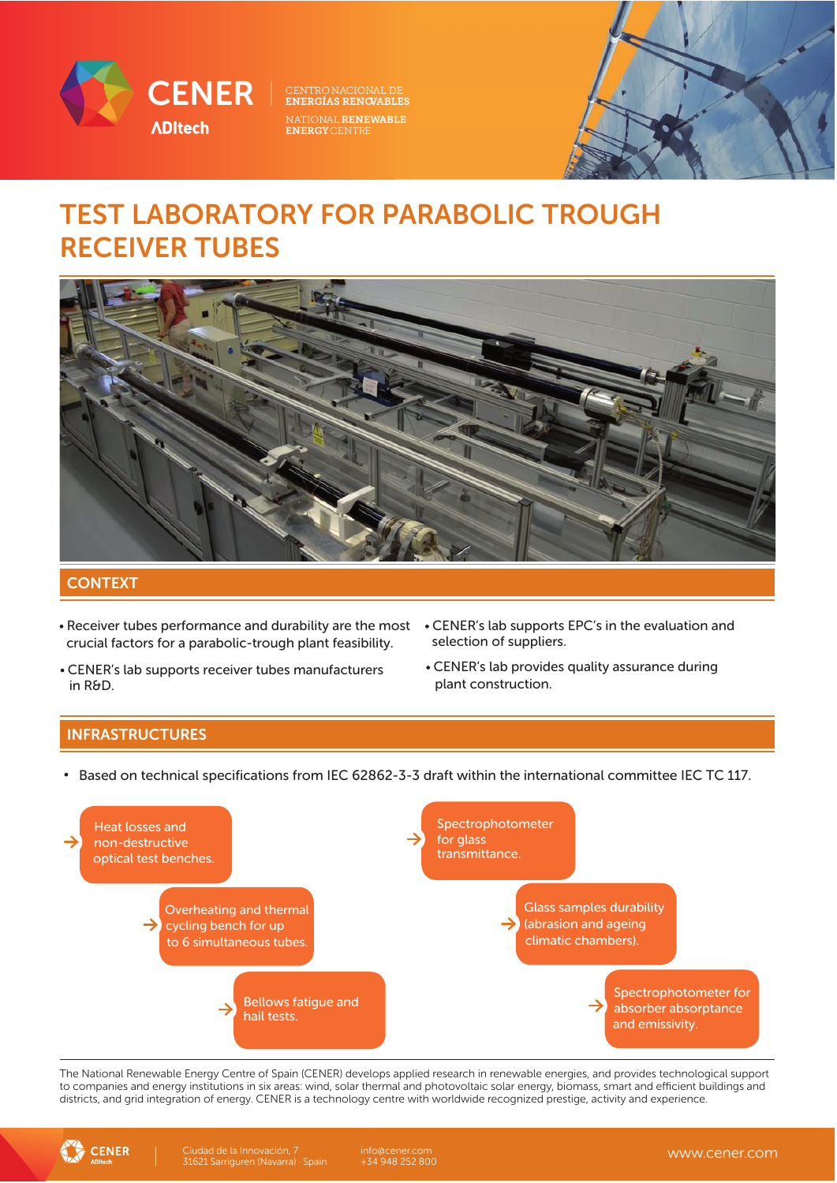

NATIONAL RENEWABLE ENERGYCENTRE

## TEST LABORATORY FOR PARABOLIC TROUGH RECEIVER TUBES



### **CONTEXT**

- Receiver tubes performance and durability are the most CENER's lab supports EPC's in the evaluation and crucial factors for a parabolic-trough plant feasibility.
- CENER's lab supports receiver tubes manufacturers in R&D.
- selection of suppliers.
- CENER's lab provides quality assurance during plant construction.

### INFRASTRUCTURES

• Based on technical specifications from IEC 62862-3-3 draft within the international committee IEC TC 117.



The National Renewable Energy Centre of Spain (CENER) develops applied research in renewable energies, and provides technological support to companies and energy institutions in six areas: wind, solar thermal and photovoltaic solar energy, biomass, smart and efficient buildings and districts, and grid integration of energy. CENER is a technology centre with worldwide recognized prestige, activity and experience.